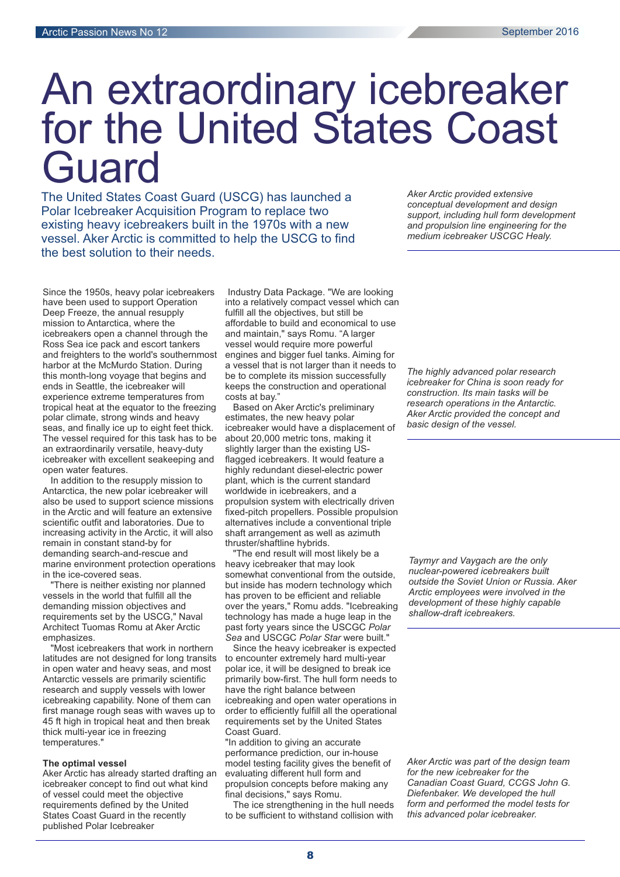# An extraordinary icebreaker for the United States Coast **Guard**

The United States Coast Guard (USCG) has launched a Polar Icebreaker Acquisition Program to replace two existing heavy icebreakers built in the 1970s with a new vessel. Aker Arctic is committed to help the USCG to find the best solution to their needs.

Since the 1950s, heavy polar icebreakers have been used to support Operation Deep Freeze, the annual resupply mission to Antarctica, where the icebreakers open a channel through the Ross Sea ice pack and escort tankers and freighters to the world's southernmost harbor at the McMurdo Station. During this month-long voyage that begins and ends in Seattle, the icebreaker will experience extreme temperatures from tropical heat at the equator to the freezing polar climate, strong winds and heavy seas, and finally ice up to eight feet thick. The vessel required for this task has to be an extraordinarily versatile, heavy-duty icebreaker with excellent seakeeping and open water features.

In addition to the resupply mission to Antarctica, the new polar icebreaker will also be used to support science missions in the Arctic and will feature an extensive scientific outfit and laboratories. Due to increasing activity in the Arctic, it will also remain in constant stand-by for demanding search-and-rescue and marine environment protection operations in the ice-covered seas.

"There is neither existing nor planned vessels in the world that fulfill all the demanding mission objectives and requirements set by the USCG," Naval Architect Tuomas Romu at Aker Arctic emphasizes.

"Most icebreakers that work in northern latitudes are not designed for long transits in open water and heavy seas, and most Antarctic vessels are primarily scientific research and supply vessels with lower icebreaking capability. None of them can first manage rough seas with waves up to 45 ft high in tropical heat and then break thick multi-year ice in freezing temperatures."

#### **The optimal vessel**

Aker Arctic has already started drafting an icebreaker concept to find out what kind of vessel could meet the objective requirements defined by the United States Coast Guard in the recently published Polar Icebreaker

Industry Data Package. "We are looking into a relatively compact vessel which can fulfill all the objectives, but still be affordable to build and economical to use and maintain," says Romu. "A larger vessel would require more powerful engines and bigger fuel tanks. Aiming for a vessel that is not larger than it needs to be to complete its mission successfully keeps the construction and operational costs at bay."

Polar Polar Research Institute of China<br>Polar Research Based on Aker Arctic's preliminary estimates, the new heavy polar icebreaker would have a displacement of about 20,000 metric tons, making it slightly larger than the existing USflagged icebreakers. It would feature a highly redundant diesel-electric power plant, which is the current standard worldwide in icebreakers, and a propulsion system with electrically driven fixed-pitch propellers. Possible propulsion alternatives include a conventional triple shaft arrangement as well as azimuth thruster/shaftline hybrids.

"The end result will most likely be a heavy icebreaker that may look somewhat conventional from the outside, but inside has modern technology which has proven to be efficient and reliable over the years," Romu adds. "Icebreaking technology has made a huge leap in the past forty years since the USCGC *Polar* Sea and USCGC Polar Star were built."

Since the heavy icebreaker is expected to encounter extremely hard multi-year polar ice, it will be designed to break ice primarily bow-first. The hull form needs to have the right balance between icebreaking and open water operations in order to efficiently fulfill all the operational requirements set by the United States Coast Guard.

"In addition to giving an accurate performance prediction, our in-house model testing facility gives the benefit of evaluating different hull form and propulsion concepts before making any final decisions," says Romu.

The ice strengthening in the hull needs to be sufficient to withstand collision with

*Aker Arctic provided extensive conceptual development and design support, including hull form development and propulsion line engineering for the medium icebreaker USCGC Healy.*

*The highly advanced polar research icebreaker for China is soon ready for construction. Its main tasks will be research operations in the Antarctic. Aker Arctic provided the concept and basic design of the vessel.*

*Taymyr and Vaygach are the only nuclear-powered icebreakers built outside the Soviet Union or Russia. Aker Arctic employees were involved in the development of these highly capable shallow-draft icebreakers.*

*Aker Arctic was part of the design team for the new icebreaker for the Canadian Coast Guard, CCGS John G. Diefenbaker. We developed the hull form and performed the model tests for this advanced polar icebreaker.*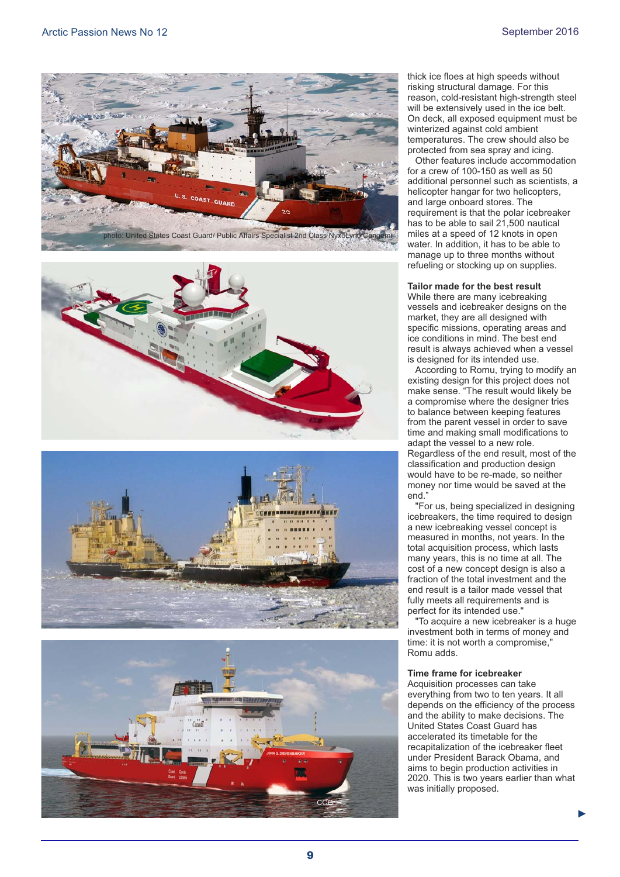







thick ice floes at high speeds without risking structural damage. For this reason, cold-resistant high-strength steel will be extensively used in the ice belt. On deck, all exposed equipment must be winterized against cold ambient temperatures. The crew should also be protected from sea spray and icing.

Other features include accommodation for a crew of 100-150 as well as 50 additional personnel such as scientists, a helicopter hangar for two helicopters, and large onboard stores. The requirement is that the polar icebreaker has to be able to sail 21,500 nautical miles at a speed of 12 knots in open water. In addition, it has to be able to manage up to three months without refueling or stocking up on supplies.

#### **Tailor made for the best result**

While there are many icebreaking vessels and icebreaker designs on the market, they are all designed with specific missions, operating areas and ice conditions in mind. The best end result is always achieved when a vessel is designed for its intended use.

According to Romu, trying to modify an existing design for this project does not make sense. "The result would likely be a compromise where the designer tries to balance between keeping features from the parent vessel in order to save time and making small modifications to adapt the vessel to a new role. Regardless of the end result, most of the classification and production design would have to be re-made, so neither money nor time would be saved at the end."

"For us, being specialized in designing icebreakers, the time required to design a new icebreaking vessel concept is measured in months, not years. In the total acquisition process, which lasts many years, this is no time at all. The cost of a new concept design is also a fraction of the total investment and the end result is a tailor made vessel that fully meets all requirements and is perfect for its intended use."

"To acquire a new icebreaker is a huge investment both in terms of money and time: it is not worth a compromise," Romu adds.

#### **Time frame for icebreaker**

Acquisition processes can take everything from two to ten years. It all depends on the efficiency of the process and the ability to make decisions. The United States Coast Guard has accelerated its timetable for the recapitalization of the icebreaker fleet under President Barack Obama, and aims to begin production activities in 2020. This is two years earlier than what was initially proposed.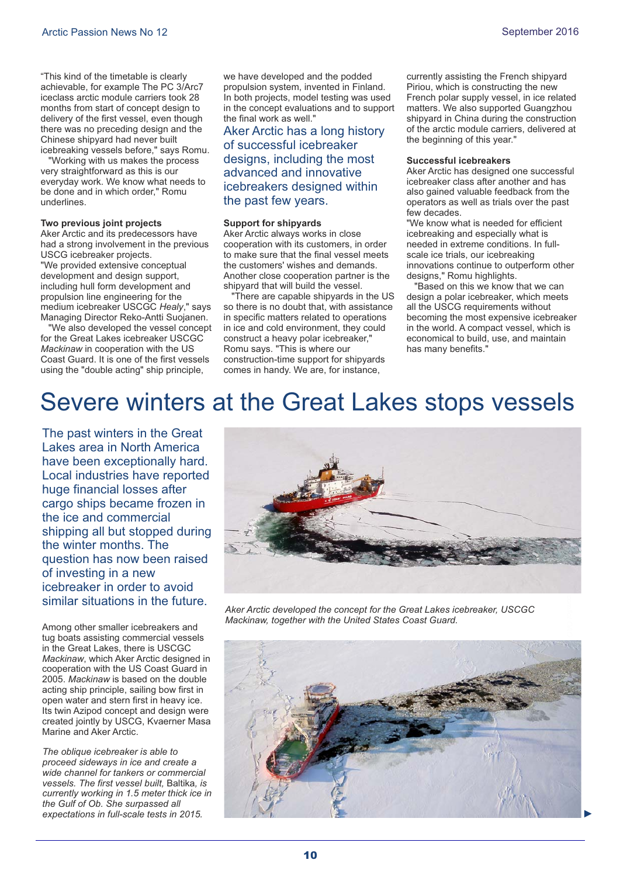"This kind of the timetable is clearly achievable, for example The PC 3/Arc7 iceclass arctic module carriers took 28 months from start of concept design to delivery of the first vessel, even though there was no preceding design and the Chinese shipyard had never built icebreaking vessels before," says Romu.

"Working with us makes the process very straightforward as this is our everyday work. We know what needs to be done and in which order," Romu underlines.

#### **Two previous joint projects**

Aker Arctic and its predecessors have had a strong involvement in the previous USCG icebreaker projects. "We provided extensive conceptual development and design support, including hull form development and propulsion line engineering for the medium icebreaker USCGC Healy," says Managing Director Reko-Antti Suojanen.

"We also developed the vessel concept for the Great Lakes icebreaker USCGC *Mackinaw* in cooperation with the US Coast Guard. It is one of the first vessels using the "double acting" ship principle,

we have developed and the podded propulsion system, invented in Finland. In both projects, model testing was used in the concept evaluations and to support the final work as well."

#### Aker Arctic has a long history of successful icebreaker designs, including the most advanced and innovative icebreakers designed within the past few years.

#### **Support for shipyards**

Aker Arctic always works in close cooperation with its customers, in order to make sure that the final vessel meets the customers' wishes and demands. Another close cooperation partner is the shipyard that will build the vessel.

"There are capable shipyards in the US so there is no doubt that, with assistance in specific matters related to operations in ice and cold environment, they could construct a heavy polar icebreaker," Romu says. "This is where our construction-time support for shipyards comes in handy. We are, for instance,

currently assisting the French shipyard Piriou, which is constructing the new French polar supply vessel, in ice related matters. We also supported Guangzhou shipyard in China during the construction of the arctic module carriers, delivered at the beginning of this year."

#### **Successful icebreakers**

Aker Arctic has designed one successful icebreaker class after another and has also gained valuable feedback from the operators as well as trials over the past few decades.

"We know what is needed for efficient icebreaking and especially what is needed in extreme conditions. In fullscale ice trials, our icebreaking innovations continue to outperform other designs," Romu highlights.

"Based on this we know that we can design a polar icebreaker, which meets all the USCG requirements without becoming the most expensive icebreaker in the world. A compact vessel, which is economical to build, use, and maintain has many benefits."

### Severe winters at the Great Lakes stops vessels

The past winters in the Great Lakes area in North America have been exceptionally hard. Local industries have reported huge financial losses after cargo ships became frozen in the ice and commercial shipping all but stopped during the winter months. The question has now been raised of investing in a new icebreaker in order to avoid similar situations in the future.

Among other smaller icebreakers and tug boats assisting commercial vessels in the Great Lakes, there is USCGC *Mackinaw*, which Aker Arctic designed in cooperation with the US Coast Guard in 2005. Mackinaw is based on the double acting ship principle, sailing bow first in open water and stern first in heavy ice. Its twin Azipod concept and design were created jointly by USCG, Kvaerner Masa Marine and Aker Arctic.

*The oblique icebreaker is able to proceed sideways in ice and create a wide channel for tankers or commercial vessels. The first vessel built*, Baltika, is *currently working in 1.5 meter thick ice in the Gulf of Ob. She surpassed all expectations in full-scale tests in 2015.*



*Aker Arctic developed the concept for the Great Lakes icebreaker, USCGC Mackinaw, together with the United States Coast Guard.*